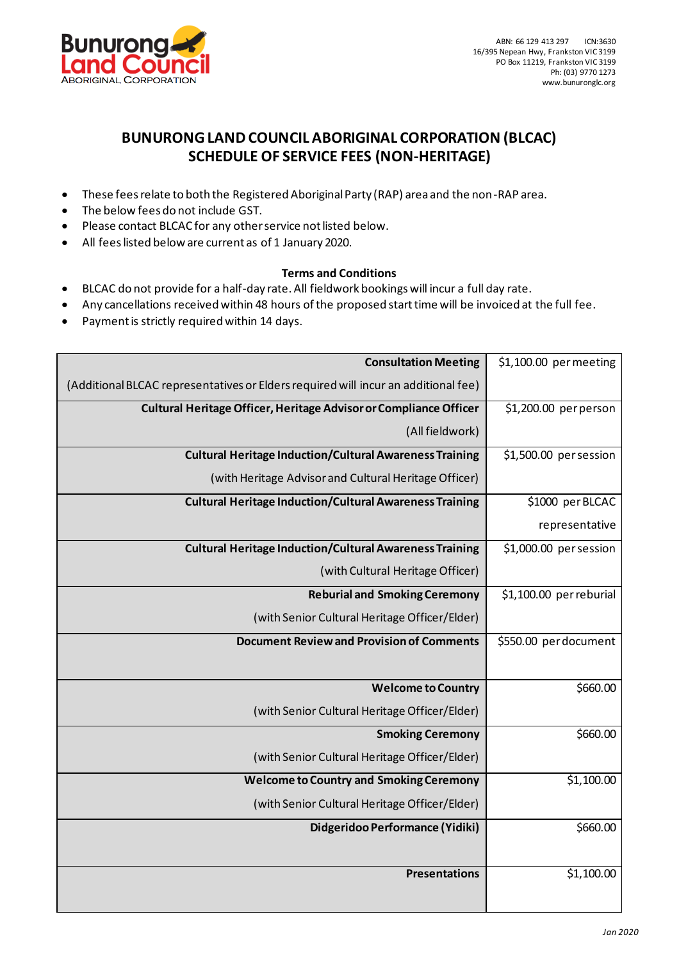

## **BUNURONG LAND COUNCIL ABORIGINAL CORPORATION (BLCAC) SCHEDULE OF SERVICE FEES (NON-HERITAGE)**

- These fees relate to both the Registered Aboriginal Party (RAP) area and the non-RAP area.
- The below fees do not include GST.
- Please contact BLCAC for any other service not listed below.
- All fees listed below are current as of 1 January 2020.

## **Terms and Conditions**

- BLCAC do not provide for a half-day rate. All fieldwork bookings will incur a full day rate.
- Any cancellations received within 48 hours of the proposed start time will be invoiced at the full fee.
- Payment is strictly required within 14 days.

| <b>Consultation Meeting</b>                                                        | \$1,100.00 permeeting   |
|------------------------------------------------------------------------------------|-------------------------|
| (Additional BLCAC representatives or Elders required will incur an additional fee) |                         |
| Cultural Heritage Officer, Heritage Advisor or Compliance Officer                  | \$1,200.00 per person   |
| (All fieldwork)                                                                    |                         |
| <b>Cultural Heritage Induction/Cultural Awareness Training</b>                     | \$1,500.00 per session  |
| (with Heritage Advisor and Cultural Heritage Officer)                              |                         |
| <b>Cultural Heritage Induction/Cultural Awareness Training</b>                     | \$1000 per BLCAC        |
|                                                                                    | representative          |
| <b>Cultural Heritage Induction/Cultural Awareness Training</b>                     | \$1,000.00 per session  |
| (with Cultural Heritage Officer)                                                   |                         |
| <b>Reburial and Smoking Ceremony</b>                                               | \$1,100.00 per reburial |
| (with Senior Cultural Heritage Officer/Elder)                                      |                         |
| <b>Document Review and Provision of Comments</b>                                   | \$550.00 per document   |
| <b>Welcome to Country</b>                                                          | \$660.00                |
| (with Senior Cultural Heritage Officer/Elder)                                      |                         |
| <b>Smoking Ceremony</b>                                                            | \$660.00                |
| (with Senior Cultural Heritage Officer/Elder)                                      |                         |
| <b>Welcome to Country and Smoking Ceremony</b>                                     | \$1,100.00              |
| (with Senior Cultural Heritage Officer/Elder)                                      |                         |
| Didgeridoo Performance (Yidiki)                                                    | \$660.00                |
| <b>Presentations</b>                                                               | \$1,100.00              |